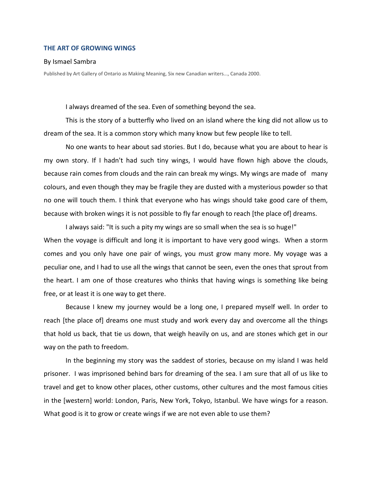## **THE ART OF GROWING WINGS**

## By Ismael Sambra

Published by Art Gallery of Ontario as Making Meaning, Six new Canadian writers..., Canada 2000.

I always dreamed of the sea. Even of something beyond the sea.

This is the story of a butterfly who lived on an island where the king did not allow us to dream of the sea. It is a common story which many know but few people like to tell.

No one wants to hear about sad stories. But I do, because what you are about to hear is my own story. If I hadn't had such tiny wings, I would have flown high above the clouds, because rain comes from clouds and the rain can break my wings. My wings are made of many colours, and even though they may be fragile they are dusted with a mysterious powder so that no one will touch them. I think that everyone who has wings should take good care of them, because with broken wings it is not possible to fly far enough to reach [the place of] dreams.

I always said: "It is such a pity my wings are so small when the sea is so huge!" When the voyage is difficult and long it is important to have very good wings. When a storm comes and you only have one pair of wings, you must grow many more. My voyage was a peculiar one, and I had to use all the wings that cannot be seen, even the ones that sprout from the heart. I am one of those creatures who thinks that having wings is something like being free, or at least it is one way to get there.

Because I knew my journey would be a long one, I prepared myself well. In order to reach [the place of] dreams one must study and work every day and overcome all the things that hold us back, that tie us down, that weigh heavily on us, and are stones which get in our way on the path to freedom.

In the beginning my story was the saddest of stories, because on my island I was held prisoner. I was imprisoned behind bars for dreaming of the sea. I am sure that all of us like to travel and get to know other places, other customs, other cultures and the most famous cities in the [western] world: London, Paris, New York, Tokyo, Istanbul. We have wings for a reason. What good is it to grow or create wings if we are not even able to use them?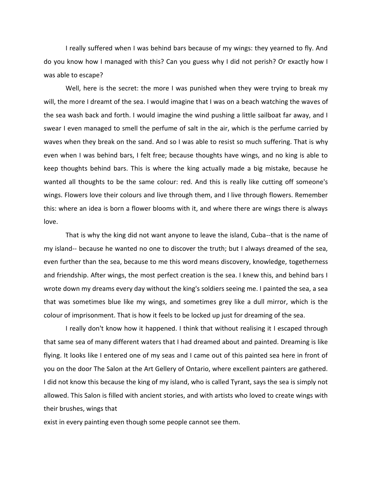I really suffered when I was behind bars because of my wings: they yearned to fly. And do you know how I managed with this? Can you guess why I did not perish? Or exactly how I was able to escape?

Well, here is the secret: the more I was punished when they were trying to break my will, the more I dreamt of the sea. I would imagine that I was on a beach watching the waves of the sea wash back and forth. I would imagine the wind pushing a little sailboat far away, and I swear I even managed to smell the perfume of salt in the air, which is the perfume carried by waves when they break on the sand. And so I was able to resist so much suffering. That is why even when I was behind bars, I felt free; because thoughts have wings, and no king is able to keep thoughts behind bars. This is where the king actually made a big mistake, because he wanted all thoughts to be the same colour: red. And this is really like cutting off someone's wings. Flowers love their colours and live through them, and I live through flowers. Remember this: where an idea is born a flower blooms with it, and where there are wings there is always love.

That is why the king did not want anyone to leave the island, Cuba--that is the name of my island-- because he wanted no one to discover the truth; but I always dreamed of the sea, even further than the sea, because to me this word means discovery, knowledge, togetherness and friendship. After wings, the most perfect creation is the sea. I knew this, and behind bars I wrote down my dreams every day without the king's soldiers seeing me. I painted the sea, a sea that was sometimes blue like my wings, and sometimes grey like a dull mirror, which is the colour of imprisonment. That is how it feels to be locked up just for dreaming of the sea.

I really don't know how it happened. I think that without realising it I escaped through that same sea of many different waters that I had dreamed about and painted. Dreaming is like flying. It looks like I entered one of my seas and I came out of this painted sea here in front of you on the door The Salon at the Art Gellery of Ontario, where excellent painters are gathered. I did not know this because the king of my island, who is called Tyrant, says the sea is simply not allowed. This Salon is filled with ancient stories, and with artists who loved to create wings with their brushes, wings that

exist in every painting even though some people cannot see them.